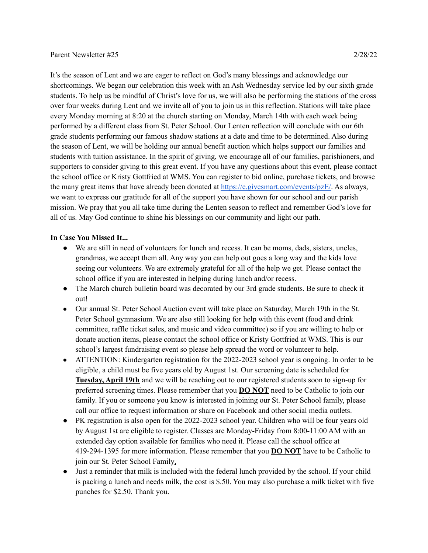## Parent Newsletter #25 2/28/22

It's the season of Lent and we are eager to reflect on God's many blessings and acknowledge our shortcomings. We began our celebration this week with an Ash Wednesday service led by our sixth grade students. To help us be mindful of Christ's love for us, we will also be performing the stations of the cross over four weeks during Lent and we invite all of you to join us in this reflection. Stations will take place every Monday morning at 8:20 at the church starting on Monday, March 14th with each week being performed by a different class from St. Peter School. Our Lenten reflection will conclude with our 6th grade students performing our famous shadow stations at a date and time to be determined. Also during the season of Lent, we will be holding our annual benefit auction which helps support our families and students with tuition assistance. In the spirit of giving, we encourage all of our families, parishioners, and supporters to consider giving to this great event. If you have any questions about this event, please contact the school office or Kristy Gottfried at WMS. You can register to bid online, purchase tickets, and browse the many great items that have already been donated at [https://e.givesmart.com/events/pzE/.](https://e.givesmart.com/events/pzE/) As always, we want to express our gratitude for all of the support you have shown for our school and our parish mission. We pray that you all take time during the Lenten season to reflect and remember God's love for all of us. May God continue to shine his blessings on our community and light our path.

## **In Case You Missed It...**

- We are still in need of volunteers for lunch and recess. It can be moms, dads, sisters, uncles, grandmas, we accept them all. Any way you can help out goes a long way and the kids love seeing our volunteers. We are extremely grateful for all of the help we get. Please contact the school office if you are interested in helping during lunch and/or recess.
- The March church bulletin board was decorated by our 3rd grade students. Be sure to check it out!
- Our annual St. Peter School Auction event will take place on Saturday, March 19th in the St. Peter School gymnasium. We are also still looking for help with this event (food and drink committee, raffle ticket sales, and music and video committee) so if you are willing to help or donate auction items, please contact the school office or Kristy Gottfried at WMS. This is our school's largest fundraising event so please help spread the word or volunteer to help.
- ATTENTION: Kindergarten registration for the 2022-2023 school year is ongoing. In order to be eligible, a child must be five years old by August 1st. Our screening date is scheduled for **Tuesday, April 19th** and we will be reaching out to our registered students soon to sign-up for preferred screening times. Please remember that you **DO NOT** need to be Catholic to join our family. If you or someone you know is interested in joining our St. Peter School family, please call our office to request information or share on Facebook and other social media outlets.
- PK registration is also open for the 2022-2023 school year. Children who will be four years old by August 1st are eligible to register. Classes are Monday-Friday from 8:00-11:00 AM with an extended day option available for families who need it. Please call the school office at 419-294-1395 for more information. Please remember that you **DO NOT** have to be Catholic to join our St. Peter School Family.
- Just a reminder that milk is included with the federal lunch provided by the school. If your child is packing a lunch and needs milk, the cost is \$.50. You may also purchase a milk ticket with five punches for \$2.50. Thank you.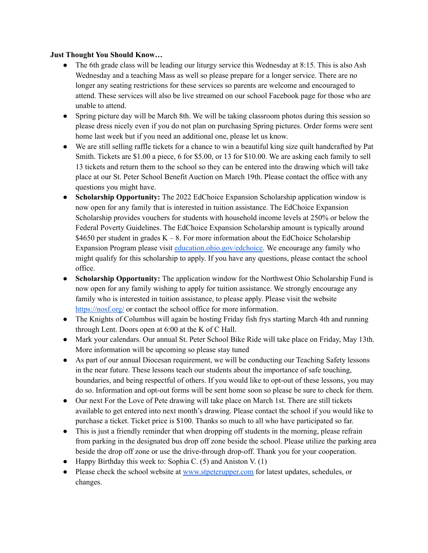## **Just Thought You Should Know…**

- The 6th grade class will be leading our liturgy service this Wednesday at 8:15. This is also Ash Wednesday and a teaching Mass as well so please prepare for a longer service. There are no longer any seating restrictions for these services so parents are welcome and encouraged to attend. These services will also be live streamed on our school Facebook page for those who are unable to attend.
- Spring picture day will be March 8th. We will be taking classroom photos during this session so please dress nicely even if you do not plan on purchasing Spring pictures. Order forms were sent home last week but if you need an additional one, please let us know.
- We are still selling raffle tickets for a chance to win a beautiful king size quilt handcrafted by Pat Smith. Tickets are \$1.00 a piece, 6 for \$5.00, or 13 for \$10.00. We are asking each family to sell 13 tickets and return them to the school so they can be entered into the drawing which will take place at our St. Peter School Benefit Auction on March 19th. Please contact the office with any questions you might have.
- **Scholarship Opportunity:** The 2022 EdChoice Expansion Scholarship application window is now open for any family that is interested in tuition assistance. The EdChoice Expansion Scholarship provides vouchers for students with household income levels at 250% or below the Federal Poverty Guidelines. The EdChoice Expansion Scholarship amount is typically around \$4650 per student in grades  $K - 8$ . For more information about the EdChoice Scholarship Expansion Program please visit [education.ohio.gov/edchoice](http://education.ohio.gov/Topics/Other-Resources/Scholarships/EdChoice-Scholarship-Program). We encourage any family who might qualify for this scholarship to apply. If you have any questions, please contact the school office.
- **Scholarship Opportunity:** The application window for the Northwest Ohio Scholarship Fund is now open for any family wishing to apply for tuition assistance. We strongly encourage any family who is interested in tuition assistance, to please apply. Please visit the website <https://nosf.org/> or contact the school office for more information.
- The Knights of Columbus will again be hosting Friday fish frys starting March 4th and running through Lent. Doors open at 6:00 at the K of C Hall.
- Mark your calendars. Our annual St. Peter School Bike Ride will take place on Friday, May 13th. More information will be upcoming so please stay tuned
- As part of our annual Diocesan requirement, we will be conducting our Teaching Safety lessons in the near future. These lessons teach our students about the importance of safe touching, boundaries, and being respectful of others. If you would like to opt-out of these lessons, you may do so. Information and opt-out forms will be sent home soon so please be sure to check for them.
- Our next For the Love of Pete drawing will take place on March 1st. There are still tickets available to get entered into next month's drawing. Please contact the school if you would like to purchase a ticket. Ticket price is \$100. Thanks so much to all who have participated so far.
- This is just a friendly reminder that when dropping off students in the morning, please refrain from parking in the designated bus drop off zone beside the school. Please utilize the parking area beside the drop off zone or use the drive-through drop-off. Thank you for your cooperation.
- Happy Birthday this week to: Sophia C. (5) and Aniston V. (1)
- Please check the school website at [www.stpeterupper.com](http://www.stpeterupper.com) for latest updates, schedules, or changes.